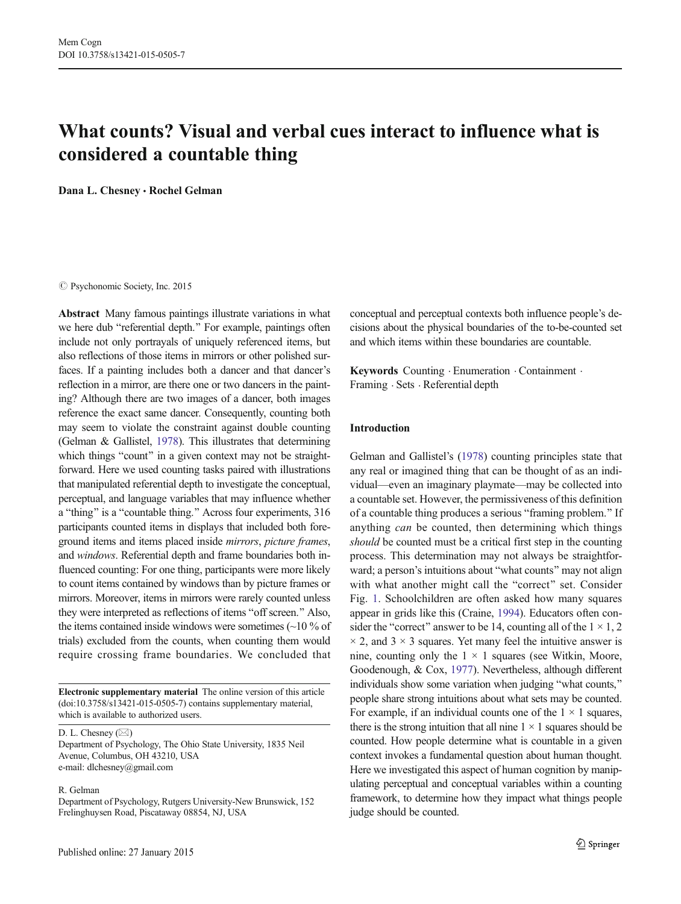# What counts? Visual and verbal cues interact to influence what is considered a countable thing

Dana L. Chesney · Rochel Gelman

#### $\oslash$  Psychonomic Society, Inc. 2015

Abstract Many famous paintings illustrate variations in what we here dub "referential depth." For example, paintings often include not only portrayals of uniquely referenced items, but also reflections of those items in mirrors or other polished surfaces. If a painting includes both a dancer and that dancer's reflection in a mirror, are there one or two dancers in the painting? Although there are two images of a dancer, both images reference the exact same dancer. Consequently, counting both may seem to violate the constraint against double counting (Gelman & Gallistel, [1978](#page-12-0)). This illustrates that determining which things "count" in a given context may not be straightforward. Here we used counting tasks paired with illustrations that manipulated referential depth to investigate the conceptual, perceptual, and language variables that may influence whether a "thing" is a "countable thing." Across four experiments, 316 participants counted items in displays that included both foreground items and items placed inside mirrors, picture frames, and windows. Referential depth and frame boundaries both influenced counting: For one thing, participants were more likely to count items contained by windows than by picture frames or mirrors. Moreover, items in mirrors were rarely counted unless they were interpreted as reflections of items "off screen." Also, the items contained inside windows were sometimes  $(\sim]10\%$  of trials) excluded from the counts, when counting them would require crossing frame boundaries. We concluded that

Electronic supplementary material The online version of this article (doi[:10.3758/s13421-015-0505-7](http://dx.doi.org/10.3758/s13421-015-0505-7)) contains supplementary material, which is available to authorized users.

D. L. Chesney  $(\boxtimes)$ 

Department of Psychology, The Ohio State University, 1835 Neil Avenue, Columbus, OH 43210, USA e-mail: dlchesney@gmail.com

R. Gelman

Department of Psychology, Rutgers University-New Brunswick, 152 Frelinghuysen Road, Piscataway 08854, NJ, USA

conceptual and perceptual contexts both influence people's decisions about the physical boundaries of the to-be-counted set and which items within these boundaries are countable.

Keywords Counting . Enumeration . Containment . Framing . Sets . Referential depth

# Introduction

Gelman and Gallistel's [\(1978](#page-12-0)) counting principles state that any real or imagined thing that can be thought of as an individual—even an imaginary playmate—may be collected into a countable set. However, the permissiveness of this definition of a countable thing produces a serious "framing problem." If anything can be counted, then determining which things should be counted must be a critical first step in the counting process. This determination may not always be straightforward; a person's intuitions about "what counts" may not align with what another might call the "correct" set. Consider Fig. [1.](#page-1-0) Schoolchildren are often asked how many squares appear in grids like this (Craine, [1994\)](#page-12-0). Educators often consider the "correct" answer to be 14, counting all of the  $1 \times 1, 2$  $\times$  2, and 3  $\times$  3 squares. Yet many feel the intuitive answer is nine, counting only the  $1 \times 1$  squares (see Witkin, Moore, Goodenough, & Cox, [1977\)](#page-12-0). Nevertheless, although different individuals show some variation when judging "what counts," people share strong intuitions about what sets may be counted. For example, if an individual counts one of the  $1 \times 1$  squares, there is the strong intuition that all nine  $1 \times 1$  squares should be counted. How people determine what is countable in a given context invokes a fundamental question about human thought. Here we investigated this aspect of human cognition by manipulating perceptual and conceptual variables within a counting framework, to determine how they impact what things people judge should be counted.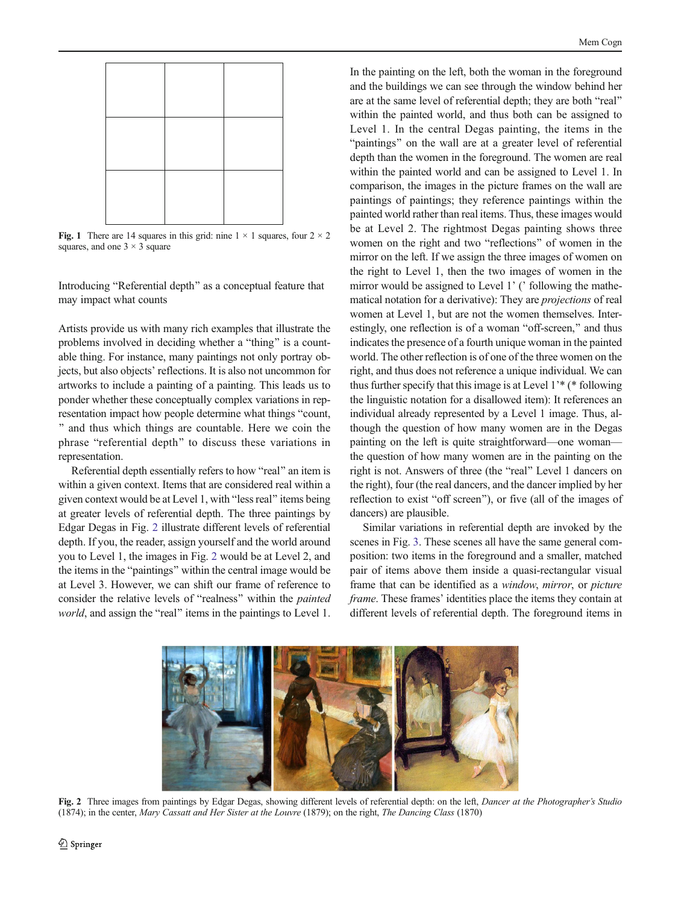<span id="page-1-0"></span>

Fig. 1 There are 14 squares in this grid: nine  $1 \times 1$  squares, four  $2 \times 2$ squares, and one  $3 \times 3$  square

Introducing "Referential depth" as a conceptual feature that may impact what counts

Artists provide us with many rich examples that illustrate the problems involved in deciding whether a "thing" is a countable thing. For instance, many paintings not only portray objects, but also objects' reflections. It is also not uncommon for artworks to include a painting of a painting. This leads us to ponder whether these conceptually complex variations in representation impact how people determine what things "count, ^ and thus which things are countable. Here we coin the phrase "referential depth" to discuss these variations in representation.

Referential depth essentially refers to how "real" an item is within a given context. Items that are considered real within a given context would be at Level 1, with "less real" items being at greater levels of referential depth. The three paintings by Edgar Degas in Fig. 2 illustrate different levels of referential depth. If you, the reader, assign yourself and the world around you to Level 1, the images in Fig. 2 would be at Level 2, and the items in the "paintings" within the central image would be at Level 3. However, we can shift our frame of reference to consider the relative levels of "realness" within the *painted* world, and assign the "real" items in the paintings to Level 1.

In the painting on the left, both the woman in the foreground and the buildings we can see through the window behind her are at the same level of referential depth; they are both "real" within the painted world, and thus both can be assigned to Level 1. In the central Degas painting, the items in the "paintings" on the wall are at a greater level of referential depth than the women in the foreground. The women are real within the painted world and can be assigned to Level 1. In comparison, the images in the picture frames on the wall are paintings of paintings; they reference paintings within the painted world rather than real items. Thus, these images would be at Level 2. The rightmost Degas painting shows three women on the right and two "reflections" of women in the mirror on the left. If we assign the three images of women on the right to Level 1, then the two images of women in the mirror would be assigned to Level 1' ('following the mathematical notation for a derivative): They are projections of real women at Level 1, but are not the women themselves. Interestingly, one reflection is of a woman "off-screen," and thus indicates the presence of a fourth unique woman in the painted world. The other reflection is of one of the three women on the right, and thus does not reference a unique individual. We can thus further specify that this image is at Level 1'\* (\* following the linguistic notation for a disallowed item): It references an individual already represented by a Level 1 image. Thus, although the question of how many women are in the Degas painting on the left is quite straightforward—one woman the question of how many women are in the painting on the right is not. Answers of three (the "real" Level 1 dancers on the right), four (the real dancers, and the dancer implied by her reflection to exist "off screen"), or five (all of the images of dancers) are plausible.

Similar variations in referential depth are invoked by the scenes in Fig. [3](#page-2-0). These scenes all have the same general composition: two items in the foreground and a smaller, matched pair of items above them inside a quasi-rectangular visual frame that can be identified as a window, mirror, or picture frame. These frames' identities place the items they contain at different levels of referential depth. The foreground items in



Fig. 2 Three images from paintings by Edgar Degas, showing different levels of referential depth: on the left, *Dancer at the Photographer's Studio* (1874); in the center, Mary Cassatt and Her Sister at the Louvre (1879); on the right, The Dancing Class (1870)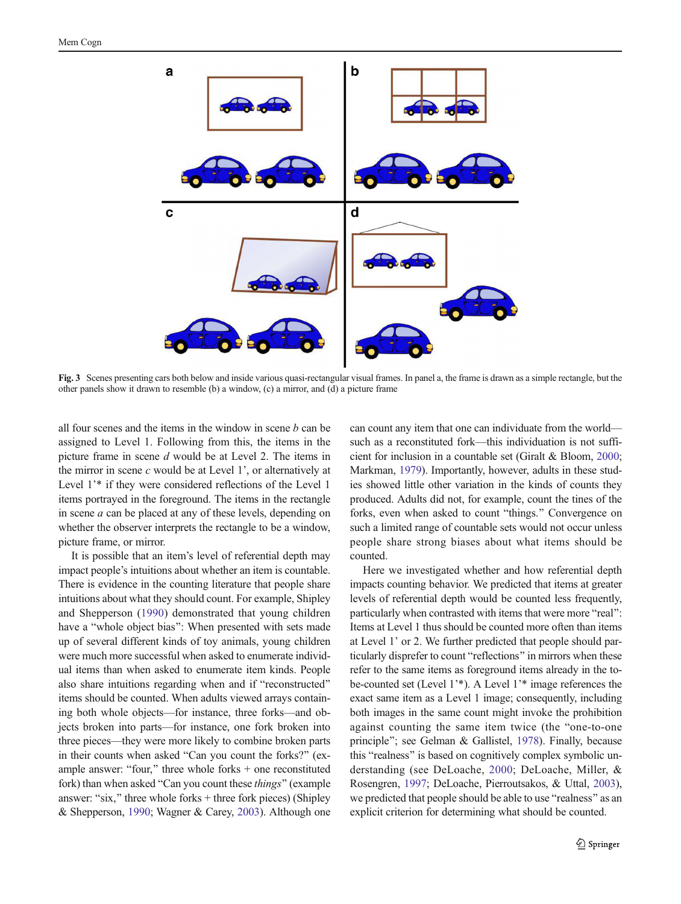<span id="page-2-0"></span>

Fig. 3 Scenes presenting cars both below and inside various quasi-rectangular visual frames. In panel a, the frame is drawn as a simple rectangle, but the other panels show it drawn to resemble (b) a window, (c) a mirror, and (d) a picture frame

all four scenes and the items in the window in scene  $b$  can be assigned to Level 1. Following from this, the items in the picture frame in scene d would be at Level 2. The items in the mirror in scene  $c$  would be at Level 1', or alternatively at Level 1'\* if they were considered reflections of the Level 1 items portrayed in the foreground. The items in the rectangle in scene a can be placed at any of these levels, depending on whether the observer interprets the rectangle to be a window, picture frame, or mirror.

It is possible that an item's level of referential depth may impact people's intuitions about whether an item is countable. There is evidence in the counting literature that people share intuitions about what they should count. For example, Shipley and Shepperson [\(1990\)](#page-12-0) demonstrated that young children have a "whole object bias": When presented with sets made up of several different kinds of toy animals, young children were much more successful when asked to enumerate individual items than when asked to enumerate item kinds. People also share intuitions regarding when and if "reconstructed" items should be counted. When adults viewed arrays containing both whole objects—for instance, three forks—and objects broken into parts—for instance, one fork broken into three pieces—they were more likely to combine broken parts in their counts when asked "Can you count the forks?" (example answer: "four," three whole forks  $+$  one reconstituted fork) than when asked "Can you count these things" (example answer: "six," three whole forks  $+$  three fork pieces) (Shipley & Shepperson, [1990](#page-12-0); Wagner & Carey, [2003](#page-12-0)). Although one can count any item that one can individuate from the world such as a reconstituted fork—this individuation is not sufficient for inclusion in a countable set (Giralt & Bloom, [2000;](#page-12-0) Markman, [1979\)](#page-12-0). Importantly, however, adults in these studies showed little other variation in the kinds of counts they produced. Adults did not, for example, count the tines of the forks, even when asked to count "things." Convergence on such a limited range of countable sets would not occur unless people share strong biases about what items should be counted.

Here we investigated whether and how referential depth impacts counting behavior. We predicted that items at greater levels of referential depth would be counted less frequently, particularly when contrasted with items that were more "real": Items at Level 1 thus should be counted more often than items at Level 1' or 2. We further predicted that people should particularly disprefer to count "reflections" in mirrors when these refer to the same items as foreground items already in the tobe-counted set (Level 1'\*). A Level 1'\* image references the exact same item as a Level 1 image; consequently, including both images in the same count might invoke the prohibition against counting the same item twice (the "one-to-one" principle"; see Gelman & Gallistel, [1978](#page-12-0)). Finally, because this "realness" is based on cognitively complex symbolic understanding (see DeLoache, [2000;](#page-12-0) DeLoache, Miller, & Rosengren, [1997](#page-12-0); DeLoache, Pierroutsakos, & Uttal, [2003\)](#page-12-0), we predicted that people should be able to use "realness" as an explicit criterion for determining what should be counted.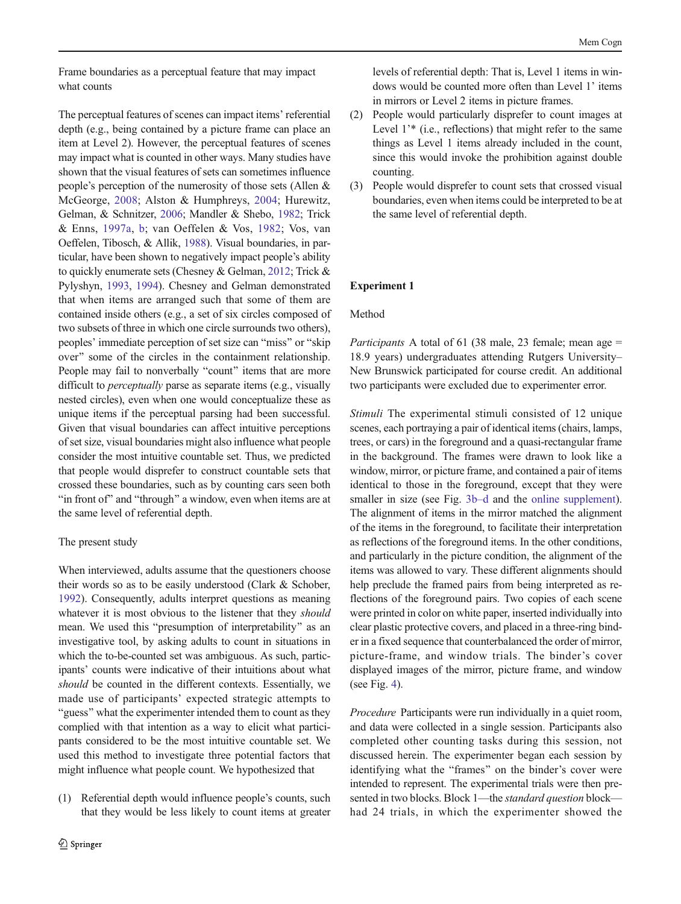<span id="page-3-0"></span>Frame boundaries as a perceptual feature that may impact what counts

The perceptual features of scenes can impact items' referential depth (e.g., being contained by a picture frame can place an item at Level 2). However, the perceptual features of scenes may impact what is counted in other ways. Many studies have shown that the visual features of sets can sometimes influence people's perception of the numerosity of those sets (Allen & McGeorge, [2008](#page-12-0); Alston & Humphreys, [2004;](#page-12-0) Hurewitz, Gelman, & Schnitzer, [2006;](#page-12-0) Mandler & Shebo, [1982;](#page-12-0) Trick & Enns, [1997a,](#page-12-0) [b;](#page-12-0) van Oeffelen & Vos, [1982;](#page-12-0) Vos, van Oeffelen, Tibosch, & Allik, [1988](#page-12-0)). Visual boundaries, in particular, have been shown to negatively impact people's ability to quickly enumerate sets (Chesney & Gelman, [2012](#page-12-0); Trick & Pylyshyn, [1993,](#page-12-0) [1994\)](#page-12-0). Chesney and Gelman demonstrated that when items are arranged such that some of them are contained inside others (e.g., a set of six circles composed of two subsets of three in which one circle surrounds two others), peoples' immediate perception of set size can "miss" or "skip over" some of the circles in the containment relationship. People may fail to nonverbally "count" items that are more difficult to *perceptually* parse as separate items (e.g., visually nested circles), even when one would conceptualize these as unique items if the perceptual parsing had been successful. Given that visual boundaries can affect intuitive perceptions of set size, visual boundaries might also influence what people consider the most intuitive countable set. Thus, we predicted that people would disprefer to construct countable sets that crossed these boundaries, such as by counting cars seen both "in front of" and "through" a window, even when items are at the same level of referential depth.

# The present study

When interviewed, adults assume that the questioners choose their words so as to be easily understood (Clark & Schober, [1992\)](#page-12-0). Consequently, adults interpret questions as meaning whatever it is most obvious to the listener that they should mean. We used this "presumption of interpretability" as an investigative tool, by asking adults to count in situations in which the to-be-counted set was ambiguous. As such, participants' counts were indicative of their intuitions about what should be counted in the different contexts. Essentially, we made use of participants' expected strategic attempts to "guess" what the experimenter intended them to count as they complied with that intention as a way to elicit what participants considered to be the most intuitive countable set. We used this method to investigate three potential factors that might influence what people count. We hypothesized that

(1) Referential depth would influence people's counts, such that they would be less likely to count items at greater levels of referential depth: That is, Level 1 items in windows would be counted more often than Level 1' items in mirrors or Level 2 items in picture frames.

- (2) People would particularly disprefer to count images at Level 1<sup>'\*</sup> (i.e., reflections) that might refer to the same things as Level 1 items already included in the count, since this would invoke the prohibition against double counting.
- (3) People would disprefer to count sets that crossed visual boundaries, even when items could be interpreted to be at the same level of referential depth.

# Experiment 1

## Method

*Participants* A total of 61 (38 male, 23 female; mean age  $=$ 18.9 years) undergraduates attending Rutgers University– New Brunswick participated for course credit. An additional two participants were excluded due to experimenter error.

Stimuli The experimental stimuli consisted of 12 unique scenes, each portraying a pair of identical items (chairs, lamps, trees, or cars) in the foreground and a quasi-rectangular frame in the background. The frames were drawn to look like a window, mirror, or picture frame, and contained a pair of items identical to those in the foreground, except that they were smaller in size (see Fig. [3b](#page-2-0)–d and the online supplement). The alignment of items in the mirror matched the alignment of the items in the foreground, to facilitate their interpretation as reflections of the foreground items. In the other conditions, and particularly in the picture condition, the alignment of the items was allowed to vary. These different alignments should help preclude the framed pairs from being interpreted as reflections of the foreground pairs. Two copies of each scene were printed in color on white paper, inserted individually into clear plastic protective covers, and placed in a three-ring binder in a fixed sequence that counterbalanced the order of mirror, picture-frame, and window trials. The binder's cover displayed images of the mirror, picture frame, and window (see Fig. [4](#page-4-0)).

Procedure Participants were run individually in a quiet room, and data were collected in a single session. Participants also completed other counting tasks during this session, not discussed herein. The experimenter began each session by identifying what the "frames" on the binder's cover were intended to represent. The experimental trials were then presented in two blocks. Block 1—the *standard question* block had 24 trials, in which the experimenter showed the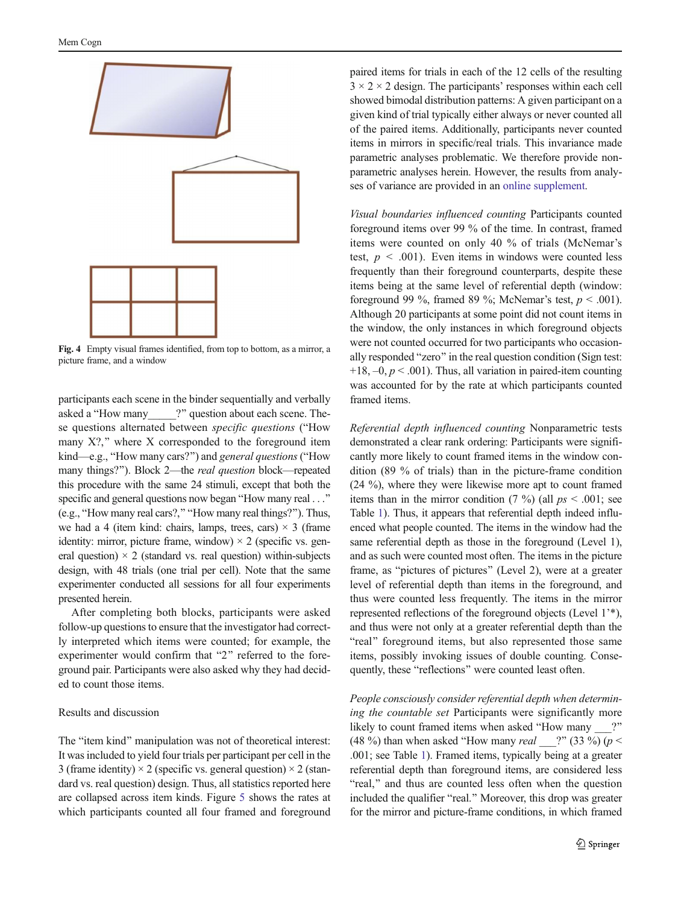<span id="page-4-0"></span>

Fig. 4 Empty visual frames identified, from top to bottom, as a mirror, a picture frame, and a window

participants each scene in the binder sequentially and verbally asked a "How many  $\qquad$  ?" question about each scene. These questions alternated between *specific questions* ("How many  $X$ ?," where  $X$  corresponded to the foreground item  $kind—e.g., "How many cars?"$ ) and *general questions* ("How many things?"). Block 2—the *real question* block—repeated this procedure with the same 24 stimuli, except that both the specific and general questions now began "How many real . . ." (e.g., "How many real cars?," "How many real things?"). Thus, we had a 4 (item kind: chairs, lamps, trees, cars)  $\times$  3 (frame identity: mirror, picture frame, window)  $\times$  2 (specific vs. general question)  $\times$  2 (standard vs. real question) within-subjects design, with 48 trials (one trial per cell). Note that the same experimenter conducted all sessions for all four experiments presented herein.

After completing both blocks, participants were asked follow-up questions to ensure that the investigator had correctly interpreted which items were counted; for example, the experimenter would confirm that "2" referred to the foreground pair. Participants were also asked why they had decided to count those items.

## Results and discussion

The "item kind" manipulation was not of theoretical interest: It was included to yield four trials per participant per cell in the 3 (frame identity)  $\times$  2 (specific vs. general question)  $\times$  2 (standard vs. real question) design. Thus, all statistics reported here are collapsed across item kinds. Figure [5](#page-5-0) shows the rates at which participants counted all four framed and foreground paired items for trials in each of the 12 cells of the resulting  $3 \times 2 \times 2$  design. The participants' responses within each cell showed bimodal distribution patterns: A given participant on a given kind of trial typically either always or never counted all of the paired items. Additionally, participants never counted items in mirrors in specific/real trials. This invariance made parametric analyses problematic. We therefore provide nonparametric analyses herein. However, the results from analyses of variance are provided in an online supplement.

Visual boundaries influenced counting Participants counted foreground items over 99 % of the time. In contrast, framed items were counted on only 40 % of trials (McNemar's test,  $p < .001$ ). Even items in windows were counted less frequently than their foreground counterparts, despite these items being at the same level of referential depth (window: foreground 99 %, framed 89 %; McNemar's test,  $p < .001$ ). Although 20 participants at some point did not count items in the window, the only instances in which foreground objects were not counted occurred for two participants who occasionally responded "zero" in the real question condition (Sign test:  $+18, -0, p < .001$ . Thus, all variation in paired-item counting was accounted for by the rate at which participants counted framed items.

Referential depth influenced counting Nonparametric tests demonstrated a clear rank ordering: Participants were significantly more likely to count framed items in the window condition (89 % of trials) than in the picture-frame condition (24 %), where they were likewise more apt to count framed items than in the mirror condition  $(7 \%)$  (all  $ps < .001$ ; see Table [1](#page-5-0)). Thus, it appears that referential depth indeed influenced what people counted. The items in the window had the same referential depth as those in the foreground (Level 1), and as such were counted most often. The items in the picture frame, as "pictures of pictures" (Level 2), were at a greater level of referential depth than items in the foreground, and thus were counted less frequently. The items in the mirror represented reflections of the foreground objects (Level 1'\*), and thus were not only at a greater referential depth than the "real" foreground items, but also represented those same items, possibly invoking issues of double counting. Consequently, these "reflections" were counted least often.

People consciously consider referential depth when determining the countable set Participants were significantly more likely to count framed items when asked "How many  $\qquad$  ?" (48 %) than when asked "How many *real*  $\cdots$  (33 %) (*p* < .001; see Table [1\)](#page-5-0). Framed items, typically being at a greater referential depth than foreground items, are considered less "real," and thus are counted less often when the question included the qualifier "real." Moreover, this drop was greater for the mirror and picture-frame conditions, in which framed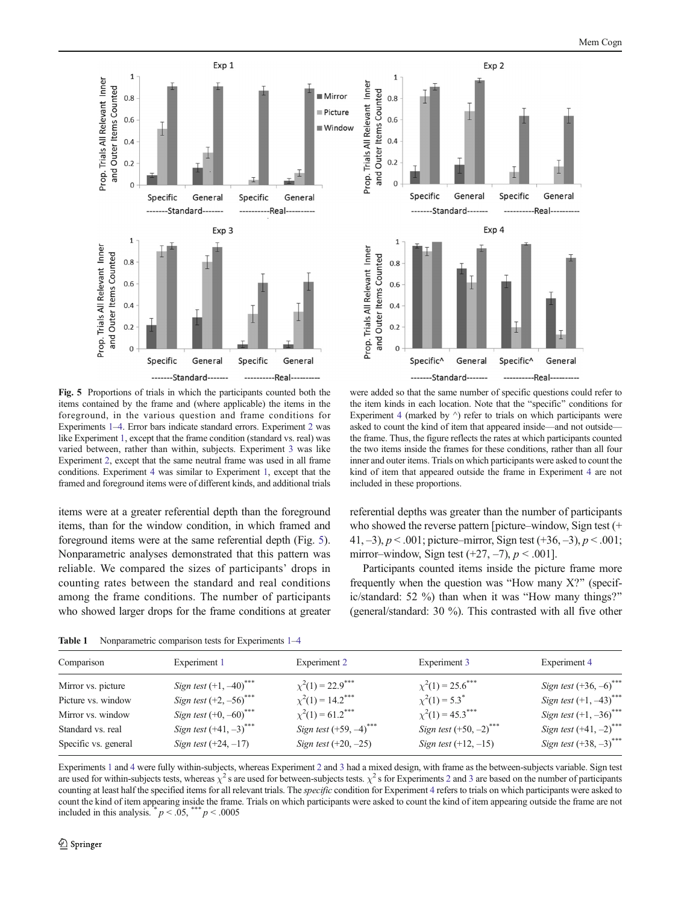<span id="page-5-0"></span>



Fig. 5 Proportions of trials in which the participants counted both the items contained by the frame and (where applicable) the items in the foreground, in the various question and frame conditions for Experiments [1](#page-3-0)–[4](#page-7-0). Error bars indicate standard errors. Experiment [2](#page-4-0) was like Experiment [1](#page-3-0), except that the frame condition (standard vs. real) was varied between, rather than within, subjects. Experiment [3](#page-6-0) was like Experiment [2,](#page-4-0) except that the same neutral frame was used in all frame conditions. Experiment [4](#page-7-0) was similar to Experiment [1](#page-3-0), except that the framed and foreground items were of different kinds, and additional trials

items were at a greater referential depth than the foreground items, than for the window condition, in which framed and foreground items were at the same referential depth (Fig. 5). Nonparametric analyses demonstrated that this pattern was reliable. We compared the sizes of participants' drops in counting rates between the standard and real conditions among the frame conditions. The number of participants who showed larger drops for the frame conditions at greater

were added so that the same number of specific questions could refer to the item kinds in each location. Note that the "specific" conditions for Experiment [4](#page-7-0) (marked by  $\land$ ) refer to trials on which participants were asked to count the kind of item that appeared inside—and not outside the frame. Thus, the figure reflects the rates at which participants counted the two items inside the frames for these conditions, rather than all four inner and outer items. Trials on which participants were asked to count the kind of item that appeared outside the frame in Experiment [4](#page-7-0) are not included in these proportions.

referential depths was greater than the number of participants who showed the reverse pattern [picture–window, Sign test (+ 41,  $-3$ ),  $p < .001$ ; picture–mirror, Sign test (+36,  $-3$ ),  $p < .001$ ; mirror–window, Sign test  $(+27, -7)$ ,  $p < .001$ .

Participants counted items inside the picture frame more frequently when the question was "How many  $X$ ?" (specific/standard: 52 %) than when it was "How many things?" (general/standard: 30 %). This contrasted with all five other

Table [1](#page-3-0) Nonparametric comparison tests for Experiments 1-[4](#page-7-0)

| Comparison           | Experiment 1                         | Experiment 2              | Experiment 3                         | Experiment 4                         |
|----------------------|--------------------------------------|---------------------------|--------------------------------------|--------------------------------------|
| Mirror vs. picture   | Sign test $(+1, -40)^{***}$          | $\chi^2(1) = 22.9$ ***    | $\chi^2(1) = 25.6$ ***               | Sign test $(+36, -6)$ ***            |
| Picture vs. window   | Sign test $(+2, -56)$ <sup>***</sup> | $\chi^2(1) = 14.2$ ***    | $\chi^2(1) = 5.3^*$                  | Sign test $(+1, -43)$ ***            |
| Mirror vs. window    | Sign test $(+0, -60)^{***}$          | $\chi^2(1) = 61.2$ ***    | $\chi^2(1) = 45.3$ ***               | Sign test $(+1, -36)$ ***            |
| Standard vs. real    | Sign test $(+41, -3)$ <sup>***</sup> | Sign test $(+59, -4)$ *** | Sign test $(+50, -2)$ <sup>***</sup> | Sign test $(+41, -2)$ <sup>***</sup> |
| Specific vs. general | Sign test $(+24, -17)$               | Sign test $(+20, -25)$    | Sign test $(+12, -15)$               | Sign test $(+38, -3)^{***}$          |

Experiments [1](#page-3-0) and [4](#page-7-0) were fully within-subjects, whereas Experiment [2](#page-4-0) and [3](#page-6-0) had a mixed design, with frame as the between-subjects variable. Sign test are used for within-subjects tests, whereas  $\chi^2$  $\chi^2$ s are used for between-subjects tests.  $\chi^2$ s for Experiments 2 and [3](#page-6-0) are based on the number of participants counting at least half the specified items for all relevant trials. The *specific* condition for Experiment [4](#page-7-0) refers to trials on which participants were asked to count the kind of item appearing inside the frame. Trials on which participants were asked to count the kind of item appearing outside the frame are not included in this analysis.  $p < .05$ ,  $\rightarrow$   $p < .0005$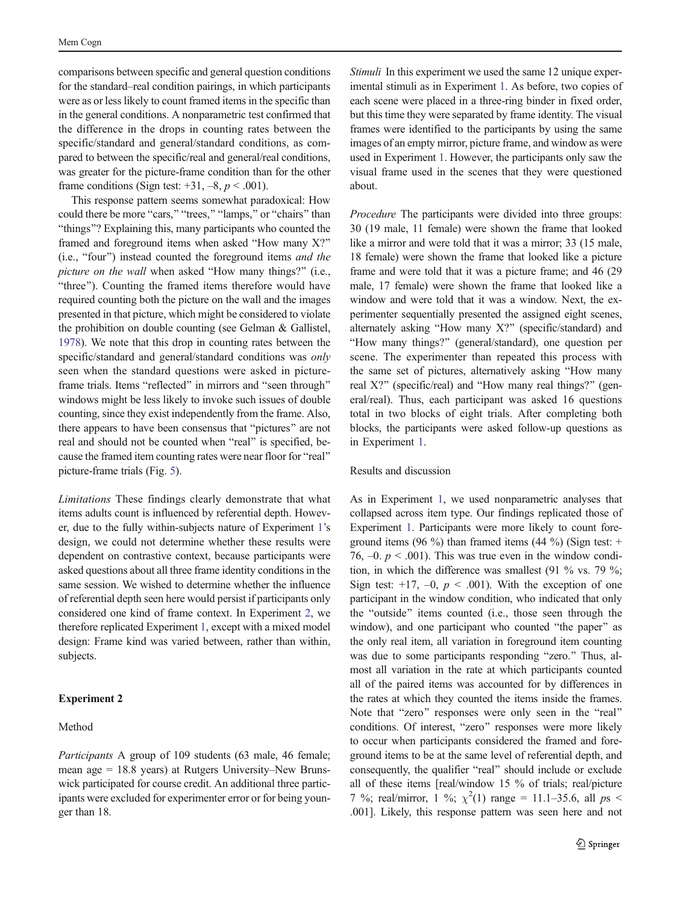<span id="page-6-0"></span>comparisons between specific and general question conditions for the standard–real condition pairings, in which participants were as or less likely to count framed items in the specific than in the general conditions. A nonparametric test confirmed that the difference in the drops in counting rates between the specific/standard and general/standard conditions, as compared to between the specific/real and general/real conditions, was greater for the picture-frame condition than for the other frame conditions (Sign test:  $+31, -8, p < .001$ ).

This response pattern seems somewhat paradoxical: How could there be more "cars," "trees," "lamps," or "chairs" than "things"? Explaining this, many participants who counted the framed and foreground items when asked "How many  $X$ ?"  $(i.e., "four")$  instead counted the foreground items *and the* picture on the wall when asked "How many things?" (i.e., "three"). Counting the framed items therefore would have required counting both the picture on the wall and the images presented in that picture, which might be considered to violate the prohibition on double counting (see Gelman & Gallistel, [1978\)](#page-12-0). We note that this drop in counting rates between the specific/standard and general/standard conditions was only seen when the standard questions were asked in pictureframe trials. Items "reflected" in mirrors and "seen through" windows might be less likely to invoke such issues of double counting, since they exist independently from the frame. Also, there appears to have been consensus that "pictures" are not real and should not be counted when "real" is specified, because the framed item counting rates were near floor for "real" picture-frame trials (Fig. [5\)](#page-5-0).

Limitations These findings clearly demonstrate that what items adults count is influenced by referential depth. However, due to the fully within-subjects nature of Experiment [1](#page-3-0)'s design, we could not determine whether these results were dependent on contrastive context, because participants were asked questions about all three frame identity conditions in the same session. We wished to determine whether the influence of referential depth seen here would persist if participants only considered one kind of frame context. In Experiment [2,](#page-4-0) we therefore replicated Experiment [1](#page-3-0), except with a mixed model design: Frame kind was varied between, rather than within, subjects.

# Experiment 2

# Method

Participants A group of 109 students (63 male, 46 female; mean age = 18.8 years) at Rutgers University–New Brunswick participated for course credit. An additional three participants were excluded for experimenter error or for being younger than 18.

Stimuli In this experiment we used the same 12 unique experimental stimuli as in Experiment [1.](#page-3-0) As before, two copies of each scene were placed in a three-ring binder in fixed order, but this time they were separated by frame identity. The visual frames were identified to the participants by using the same images of an empty mirror, picture frame, and window as were used in Experiment [1.](#page-3-0) However, the participants only saw the visual frame used in the scenes that they were questioned about.

Procedure The participants were divided into three groups: 30 (19 male, 11 female) were shown the frame that looked like a mirror and were told that it was a mirror; 33 (15 male, 18 female) were shown the frame that looked like a picture frame and were told that it was a picture frame; and 46 (29 male, 17 female) were shown the frame that looked like a window and were told that it was a window. Next, the experimenter sequentially presented the assigned eight scenes, alternately asking "How many  $X$ ?" (specific/standard) and "How many things?" (general/standard), one question per scene. The experimenter than repeated this process with the same set of pictures, alternatively asking "How many real X?" (specific/real) and "How many real things?" (general/real). Thus, each participant was asked 16 questions total in two blocks of eight trials. After completing both blocks, the participants were asked follow-up questions as in Experiment [1.](#page-3-0)

### Results and discussion

As in Experiment [1,](#page-3-0) we used nonparametric analyses that collapsed across item type. Our findings replicated those of Experiment [1](#page-3-0). Participants were more likely to count foreground items (96 %) than framed items (44 %) (Sign test:  $+$ 76,  $-0. p \le 0.001$ . This was true even in the window condition, in which the difference was smallest (91 % vs. 79 %; Sign test:  $+17$ ,  $-0$ ,  $p < .001$ ). With the exception of one participant in the window condition, who indicated that only the "outside" items counted (i.e., those seen through the window), and one participant who counted "the paper" as the only real item, all variation in foreground item counting was due to some participants responding "zero." Thus, almost all variation in the rate at which participants counted all of the paired items was accounted for by differences in the rates at which they counted the items inside the frames. Note that "zero" responses were only seen in the "real" conditions. Of interest, "zero" responses were more likely to occur when participants considered the framed and foreground items to be at the same level of referential depth, and consequently, the qualifier "real" should include or exclude all of these items [real/window 15 % of trials; real/picture 7 %; real/mirror, 1 %;  $\chi^2(1)$  range = 11.1–35.6, all ps < .001]. Likely, this response pattern was seen here and not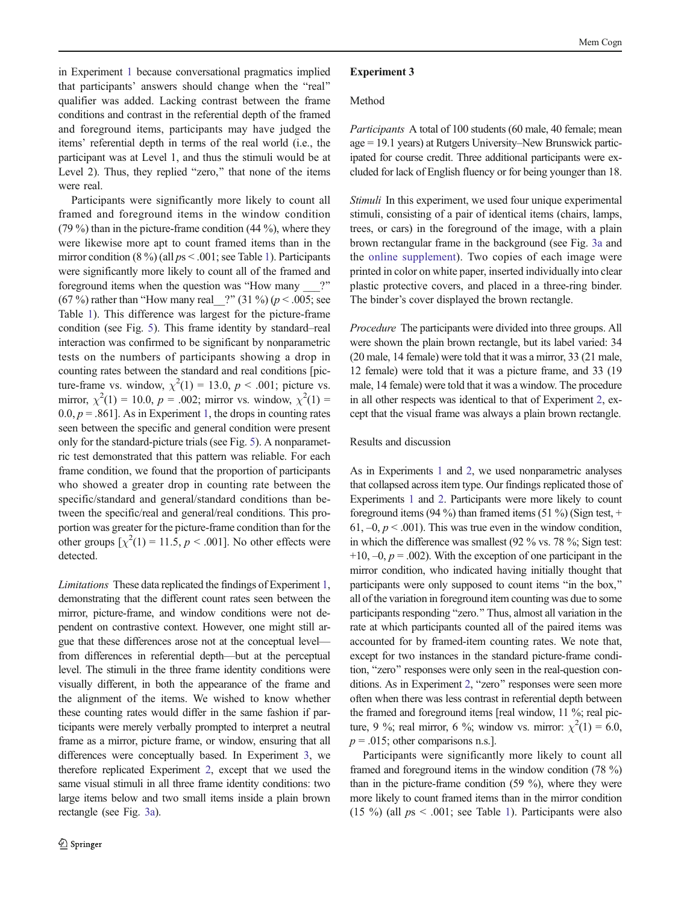<span id="page-7-0"></span>in Experiment [1](#page-3-0) because conversational pragmatics implied that participants' answers should change when the "real" qualifier was added. Lacking contrast between the frame conditions and contrast in the referential depth of the framed and foreground items, participants may have judged the items' referential depth in terms of the real world (i.e., the participant was at Level 1, and thus the stimuli would be at Level 2). Thus, they replied "zero," that none of the items were real.

Participants were significantly more likely to count all framed and foreground items in the window condition (79 %) than in the picture-frame condition (44 %), where they were likewise more apt to count framed items than in the mirror condition  $(8\%)$  (all  $ps < .001$  $ps < .001$ ; see Table 1). Participants were significantly more likely to count all of the framed and foreground items when the question was "How many  $\cdots$ " (67 %) rather than "How many real  $\binom{2^n}{31 \frac{1}{20}}$  ( $p < .005$ ; see Table [1\)](#page-5-0). This difference was largest for the picture-frame condition (see Fig. [5](#page-5-0)). This frame identity by standard–real interaction was confirmed to be significant by nonparametric tests on the numbers of participants showing a drop in counting rates between the standard and real conditions [picture-frame vs. window,  $\chi^2(1) = 13.0, p < .001$ ; picture vs. mirror,  $\chi^2(1) = 10.0$ ,  $p = .002$ ; mirror vs. window,  $\chi^2(1) =$  $0.0, p = .861$ . As in Experiment [1,](#page-3-0) the drops in counting rates seen between the specific and general condition were present only for the standard-picture trials (see Fig. [5](#page-5-0)). A nonparametric test demonstrated that this pattern was reliable. For each frame condition, we found that the proportion of participants who showed a greater drop in counting rate between the specific/standard and general/standard conditions than between the specific/real and general/real conditions. This proportion was greater for the picture-frame condition than for the other groups  $[\chi^2(1) = 11.5, p < .001]$ . No other effects were detected.

Limitations These data replicated the findings of Experiment [1,](#page-3-0) demonstrating that the different count rates seen between the mirror, picture-frame, and window conditions were not dependent on contrastive context. However, one might still argue that these differences arose not at the conceptual level from differences in referential depth—but at the perceptual level. The stimuli in the three frame identity conditions were visually different, in both the appearance of the frame and the alignment of the items. We wished to know whether these counting rates would differ in the same fashion if participants were merely verbally prompted to interpret a neutral frame as a mirror, picture frame, or window, ensuring that all differences were conceptually based. In Experiment [3,](#page-6-0) we therefore replicated Experiment [2](#page-4-0), except that we used the same visual stimuli in all three frame identity conditions: two large items below and two small items inside a plain brown rectangle (see Fig. [3a\)](#page-2-0).

#### Experiment 3

#### Method

Participants A total of 100 students (60 male, 40 female; mean age = 19.1 years) at Rutgers University–New Brunswick participated for course credit. Three additional participants were excluded for lack of English fluency or for being younger than 18.

Stimuli In this experiment, we used four unique experimental stimuli, consisting of a pair of identical items (chairs, lamps, trees, or cars) in the foreground of the image, with a plain brown rectangular frame in the background (see Fig. [3a](#page-2-0) and the online supplement). Two copies of each image were printed in color on white paper, inserted individually into clear plastic protective covers, and placed in a three-ring binder. The binder's cover displayed the brown rectangle.

Procedure The participants were divided into three groups. All were shown the plain brown rectangle, but its label varied: 34 (20 male, 14 female) were told that it was a mirror, 33 (21 male, 12 female) were told that it was a picture frame, and 33 (19 male, 14 female) were told that it was a window. The procedure in all other respects was identical to that of Experiment [2,](#page-4-0) except that the visual frame was always a plain brown rectangle.

## Results and discussion

As in Experiments [1](#page-3-0) and [2,](#page-4-0) we used nonparametric analyses that collapsed across item type. Our findings replicated those of Experiments [1](#page-3-0) and [2](#page-4-0). Participants were more likely to count foreground items (94 %) than framed items (51 %) (Sign test,  $+$ 61,  $-0$ ,  $p < .001$ ). This was true even in the window condition, in which the difference was smallest (92 % vs. 78 %; Sign test:  $+10$ ,  $-0$ ,  $p = .002$ ). With the exception of one participant in the mirror condition, who indicated having initially thought that participants were only supposed to count items "in the box," all of the variation in foreground item counting was due to some participants responding "zero." Thus, almost all variation in the rate at which participants counted all of the paired items was accounted for by framed-item counting rates. We note that, except for two instances in the standard picture-frame condition, "zero" responses were only seen in the real-question con-ditions. As in Experiment [2](#page-4-0), "zero" responses were seen more often when there was less contrast in referential depth between the framed and foreground items [real window, 11 %; real picture, 9 %; real mirror, 6 %; window vs. mirror:  $\chi^2(1) = 6.0$ ,  $p = .015$ ; other comparisons n.s.].

Participants were significantly more likely to count all framed and foreground items in the window condition (78 %) than in the picture-frame condition (59 %), where they were more likely to count framed items than in the mirror condition (15 %) (all  $ps < .001$ ; see Table [1\)](#page-5-0). Participants were also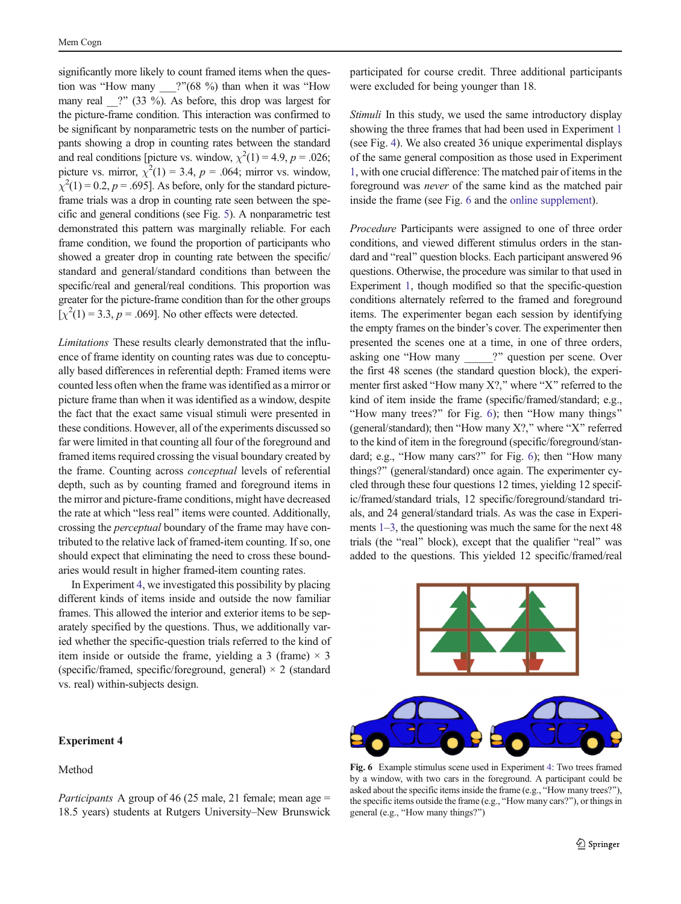significantly more likely to count framed items when the question was "How many  $\qquad$  ?"(68 %) than when it was "How many real  $\gamma$  (33 %). As before, this drop was largest for the picture-frame condition. This interaction was confirmed to be significant by nonparametric tests on the number of participants showing a drop in counting rates between the standard and real conditions [picture vs. window,  $\chi^2(1) = 4.9$ ,  $p = .026$ ; picture vs. mirror,  $\chi^2(1) = 3.4$ ,  $p = .064$ ; mirror vs. window,  $\chi^2(1) = 0.2$ ,  $p = .695$ ]. As before, only for the standard pictureframe trials was a drop in counting rate seen between the specific and general conditions (see Fig. [5\)](#page-5-0). A nonparametric test demonstrated this pattern was marginally reliable. For each frame condition, we found the proportion of participants who showed a greater drop in counting rate between the specific/ standard and general/standard conditions than between the specific/real and general/real conditions. This proportion was greater for the picture-frame condition than for the other groups  $[\chi^2(1) = 3.3, p = .069]$ . No other effects were detected.

Limitations These results clearly demonstrated that the influence of frame identity on counting rates was due to conceptually based differences in referential depth: Framed items were counted less often when the frame was identified as a mirror or picture frame than when it was identified as a window, despite the fact that the exact same visual stimuli were presented in these conditions. However, all of the experiments discussed so far were limited in that counting all four of the foreground and framed items required crossing the visual boundary created by the frame. Counting across conceptual levels of referential depth, such as by counting framed and foreground items in the mirror and picture-frame conditions, might have decreased the rate at which "less real" items were counted. Additionally, crossing the perceptual boundary of the frame may have contributed to the relative lack of framed-item counting. If so, one should expect that eliminating the need to cross these boundaries would result in higher framed-item counting rates.

In Experiment [4](#page-7-0), we investigated this possibility by placing different kinds of items inside and outside the now familiar frames. This allowed the interior and exterior items to be separately specified by the questions. Thus, we additionally varied whether the specific-question trials referred to the kind of item inside or outside the frame, yielding a 3 (frame)  $\times$  3 (specific/framed, specific/foreground, general)  $\times$  2 (standard vs. real) within-subjects design.

# Experiment 4

# Method

*Participants* A group of 46 (25 male, 21 female; mean age  $=$ 18.5 years) students at Rutgers University–New Brunswick participated for course credit. Three additional participants were excluded for being younger than 18.

Stimuli In this study, we used the same introductory display showing the three frames that had been used in Experiment [1](#page-3-0) (see Fig. [4\)](#page-4-0). We also created 36 unique experimental displays of the same general composition as those used in Experiment [1](#page-3-0), with one crucial difference: The matched pair of items in the foreground was never of the same kind as the matched pair inside the frame (see Fig. 6 and the online supplement).

Procedure Participants were assigned to one of three order conditions, and viewed different stimulus orders in the standard and "real" question blocks. Each participant answered 96 questions. Otherwise, the procedure was similar to that used in Experiment [1](#page-3-0), though modified so that the specific-question conditions alternately referred to the framed and foreground items. The experimenter began each session by identifying the empty frames on the binder's cover. The experimenter then presented the scenes one at a time, in one of three orders, asking one "How many 2" question per scene. Over the first 48 scenes (the standard question block), the experimenter first asked "How many  $X$ ?," where "X" referred to the kind of item inside the frame (specific/framed/standard; e.g., "How many trees?" for Fig. 6); then "How many things" (general/standard); then "How many  $X$ ?," where "X" referred to the kind of item in the foreground (specific/foreground/standard; e.g., "How many cars?" for Fig. 6); then "How many things?" (general/standard) once again. The experimenter cycled through these four questions 12 times, yielding 12 specific/framed/standard trials, 12 specific/foreground/standard trials, and 24 general/standard trials. As was the case in Experiments [1](#page-3-0)–[3,](#page-6-0) the questioning was much the same for the next 48 trials (the "real" block), except that the qualifier "real" was added to the questions. This yielded 12 specific/framed/real



Fig. 6 Example stimulus scene used in Experiment [4:](#page-7-0) Two trees framed by a window, with two cars in the foreground. A participant could be asked about the specific items inside the frame (e.g., "How many trees?"), the specific items outside the frame (e.g., "How many cars?"), or things in general (e.g., "How many things?")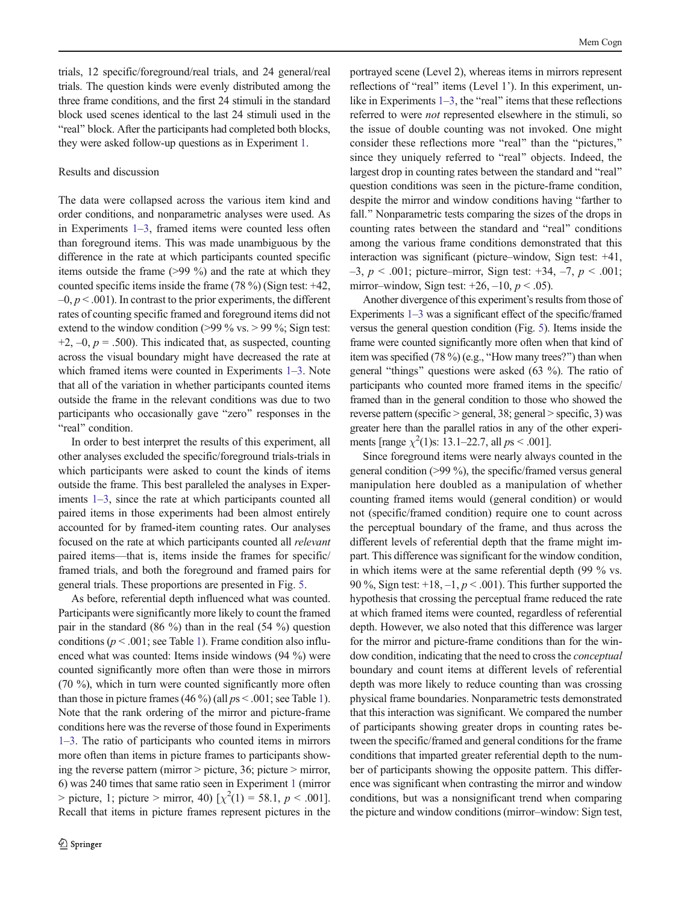trials, 12 specific/foreground/real trials, and 24 general/real trials. The question kinds were evenly distributed among the three frame conditions, and the first 24 stimuli in the standard block used scenes identical to the last 24 stimuli used in the "real" block. After the participants had completed both blocks, they were asked follow-up questions as in Experiment [1.](#page-3-0)

## Results and discussion

The data were collapsed across the various item kind and order conditions, and nonparametric analyses were used. As in Experiments [1](#page-3-0)–[3,](#page-6-0) framed items were counted less often than foreground items. This was made unambiguous by the difference in the rate at which participants counted specific items outside the frame (>99 %) and the rate at which they counted specific items inside the frame (78 %) (Sign test: +42,  $-0, p < .001$ ). In contrast to the prior experiments, the different rates of counting specific framed and foreground items did not extend to the window condition ( $>99\%$  vs.  $>99\%$ ; Sign test:  $+2$ ,  $-0$ ,  $p = .500$ ). This indicated that, as suspected, counting across the visual boundary might have decreased the rate at which framed items were counted in Experiments [1](#page-3-0)–[3.](#page-6-0) Note that all of the variation in whether participants counted items outside the frame in the relevant conditions was due to two participants who occasionally gave "zero" responses in the "real" condition.

In order to best interpret the results of this experiment, all other analyses excluded the specific/foreground trials-trials in which participants were asked to count the kinds of items outside the frame. This best paralleled the analyses in Experiments [1](#page-3-0)–[3](#page-6-0), since the rate at which participants counted all paired items in those experiments had been almost entirely accounted for by framed-item counting rates. Our analyses focused on the rate at which participants counted all relevant paired items—that is, items inside the frames for specific/ framed trials, and both the foreground and framed pairs for general trials. These proportions are presented in Fig. [5](#page-5-0).

As before, referential depth influenced what was counted. Participants were significantly more likely to count the framed pair in the standard (86 %) than in the real (54 %) question conditions ( $p < .001$ ; see Table [1\)](#page-5-0). Frame condition also influenced what was counted: Items inside windows (94 %) were counted significantly more often than were those in mirrors (70 %), which in turn were counted significantly more often than those in picture frames  $(46\%)$  (all  $ps < .001$ ; see Table [1\)](#page-5-0). Note that the rank ordering of the mirror and picture-frame conditions here was the reverse of those found in Experiments [1](#page-3-0)–[3.](#page-6-0) The ratio of participants who counted items in mirrors more often than items in picture frames to participants showing the reverse pattern (mirror > picture, 36; picture > mirror, 6) was 240 times that same ratio seen in Experiment [1](#page-3-0) (mirror  $>$  picture, 1; picture  $>$  mirror, 40) [ $\chi^2(1) = 58.1, p < .001$ ]. Recall that items in picture frames represent pictures in the portrayed scene (Level 2), whereas items in mirrors represent reflections of "real" items (Level 1'). In this experiment, unlike in Experiments  $1-3$  $1-3$ , the "real" items that these reflections referred to were not represented elsewhere in the stimuli, so the issue of double counting was not invoked. One might consider these reflections more "real" than the "pictures," since they uniquely referred to "real" objects. Indeed, the largest drop in counting rates between the standard and "real" question conditions was seen in the picture-frame condition, despite the mirror and window conditions having "farther to fall." Nonparametric tests comparing the sizes of the drops in counting rates between the standard and "real" conditions among the various frame conditions demonstrated that this interaction was significant (picture–window, Sign test: +41,  $-3$ ,  $p < .001$ ; picture–mirror, Sign test: +34, -7,  $p < .001$ ; mirror–window, Sign test:  $+26$ ,  $-10$ ,  $p < .05$ ).

Another divergence of this experiment's results from those of Experiments [1](#page-3-0)–[3](#page-6-0) was a significant effect of the specific/framed versus the general question condition (Fig. [5\)](#page-5-0). Items inside the frame were counted significantly more often when that kind of item was specified  $(78\%)$  (e.g., "How many trees?") than when general "things" questions were asked  $(63 \%)$ . The ratio of participants who counted more framed items in the specific/ framed than in the general condition to those who showed the reverse pattern (specific > general, 38; general > specific, 3) was greater here than the parallel ratios in any of the other experiments [range  $\chi^2(1)$ s: 13.1–22.7, all  $ps < .001$ ].

Since foreground items were nearly always counted in the general condition (>99 %), the specific/framed versus general manipulation here doubled as a manipulation of whether counting framed items would (general condition) or would not (specific/framed condition) require one to count across the perceptual boundary of the frame, and thus across the different levels of referential depth that the frame might impart. This difference was significant for the window condition, in which items were at the same referential depth (99 % vs. 90 %, Sign test:  $+18, -1, p < .001$ ). This further supported the hypothesis that crossing the perceptual frame reduced the rate at which framed items were counted, regardless of referential depth. However, we also noted that this difference was larger for the mirror and picture-frame conditions than for the window condition, indicating that the need to cross the conceptual boundary and count items at different levels of referential depth was more likely to reduce counting than was crossing physical frame boundaries. Nonparametric tests demonstrated that this interaction was significant. We compared the number of participants showing greater drops in counting rates between the specific/framed and general conditions for the frame conditions that imparted greater referential depth to the number of participants showing the opposite pattern. This difference was significant when contrasting the mirror and window conditions, but was a nonsignificant trend when comparing the picture and window conditions (mirror–window: Sign test,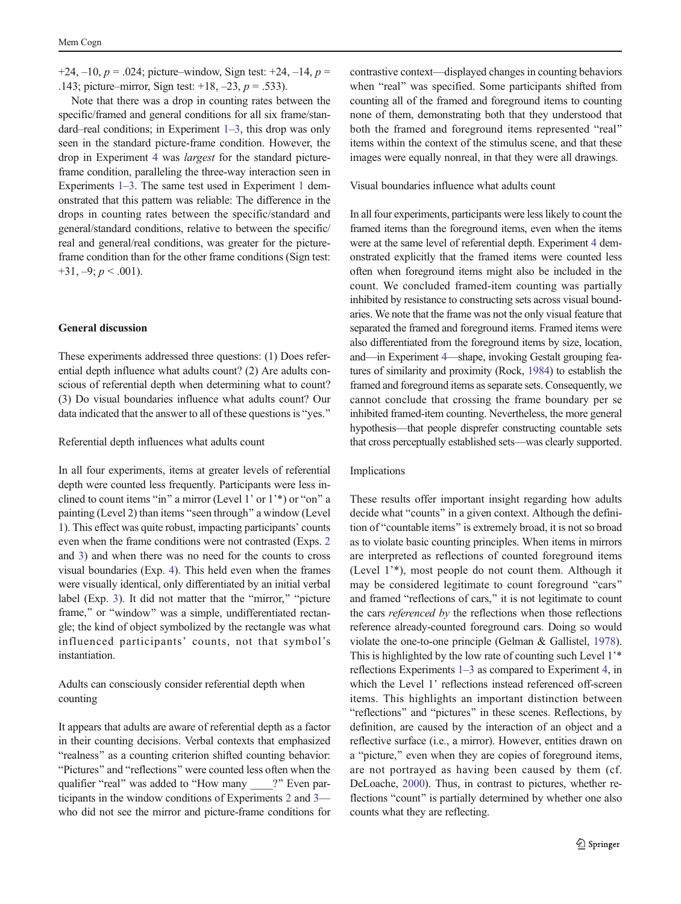+24,  $-10$ ,  $p = .024$ ; picture–window, Sign test: +24,  $-14$ ,  $p =$ .143; picture–mirror, Sign test:  $+18$ ,  $-23$ ,  $p = .533$ ).

Note that there was a drop in counting rates between the specific/framed and general conditions for all six frame/standard–real conditions; in Experiment [1](#page-3-0)–[3](#page-6-0), this drop was only seen in the standard picture-frame condition. However, the drop in Experiment [4](#page-7-0) was largest for the standard pictureframe condition, paralleling the three-way interaction seen in Experiments [1](#page-3-0)–[3.](#page-6-0) The same test used in Experiment [1](#page-3-0) demonstrated that this pattern was reliable: The difference in the drops in counting rates between the specific/standard and general/standard conditions, relative to between the specific/ real and general/real conditions, was greater for the pictureframe condition than for the other frame conditions (Sign test:  $+31, -9; p < .001$ ).

#### General discussion

These experiments addressed three questions: (1) Does referential depth influence what adults count? (2) Are adults conscious of referential depth when determining what to count? (3) Do visual boundaries influence what adults count? Our data indicated that the answer to all of these questions is "yes."

Referential depth influences what adults count

In all four experiments, items at greater levels of referential depth were counted less frequently. Participants were less inclined to count items "in" a mirror (Level 1' or 1'\*) or "on" a painting (Level 2) than items "seen through" a window (Level 1). This effect was quite robust, impacting participants' counts even when the frame conditions were not contrasted (Exps. [2](#page-4-0) and [3\)](#page-6-0) and when there was no need for the counts to cross visual boundaries (Exp. [4\)](#page-7-0). This held even when the frames were visually identical, only differentiated by an initial verbal label (Exp. [3\)](#page-6-0). It did not matter that the "mirror," "picture frame," or "window" was a simple, undifferentiated rectangle; the kind of object symbolized by the rectangle was what influenced participants' counts, not that symbol's instantiation.

Adults can consciously consider referential depth when counting

It appears that adults are aware of referential depth as a factor in their counting decisions. Verbal contexts that emphasized "realness" as a counting criterion shifted counting behavior: "Pictures" and "reflections" were counted less often when the qualifier "real" was added to "How many \_\_\_\_?" Even participants in the window conditions of Experiments [2](#page-4-0) and [3](#page-6-0) who did not see the mirror and picture-frame conditions for contrastive context—displayed changes in counting behaviors when "real" was specified. Some participants shifted from counting all of the framed and foreground items to counting none of them, demonstrating both that they understood that both the framed and foreground items represented "real" items within the context of the stimulus scene, and that these images were equally nonreal, in that they were all drawings.

## Visual boundaries influence what adults count

In all four experiments, participants were less likely to count the framed items than the foreground items, even when the items were at the same level of referential depth. Experiment [4](#page-7-0) demonstrated explicitly that the framed items were counted less often when foreground items might also be included in the count. We concluded framed-item counting was partially inhibited by resistance to constructing sets across visual boundaries. We note that the frame was not the only visual feature that separated the framed and foreground items. Framed items were also differentiated from the foreground items by size, location, and—in Experiment [4](#page-7-0)—shape, invoking Gestalt grouping features of similarity and proximity (Rock, [1984\)](#page-12-0) to establish the framed and foreground items as separate sets. Consequently, we cannot conclude that crossing the frame boundary per se inhibited framed-item counting. Nevertheless, the more general hypothesis—that people disprefer constructing countable sets that cross perceptually established sets—was clearly supported.

#### Implications

These results offer important insight regarding how adults decide what "counts" in a given context. Although the definition of "countable items" is extremely broad, it is not so broad as to violate basic counting principles. When items in mirrors are interpreted as reflections of counted foreground items (Level 1'\*), most people do not count them. Although it may be considered legitimate to count foreground "cars" and framed "reflections of cars," it is not legitimate to count the cars referenced by the reflections when those reflections reference already-counted foreground cars. Doing so would violate the one-to-one principle (Gelman & Gallistel, [1978\)](#page-12-0). This is highlighted by the low rate of counting such Level 1'\* reflections Experiments [1](#page-3-0)–[3](#page-6-0) as compared to Experiment [4,](#page-7-0) in which the Level 1' reflections instead referenced off-screen items. This highlights an important distinction between "reflections" and "pictures" in these scenes. Reflections, by definition, are caused by the interaction of an object and a reflective surface (i.e., a mirror). However, entities drawn on a "picture," even when they are copies of foreground items, are not portrayed as having been caused by them (cf. DeLoache, [2000\)](#page-12-0). Thus, in contrast to pictures, whether reflections "count" is partially determined by whether one also counts what they are reflecting.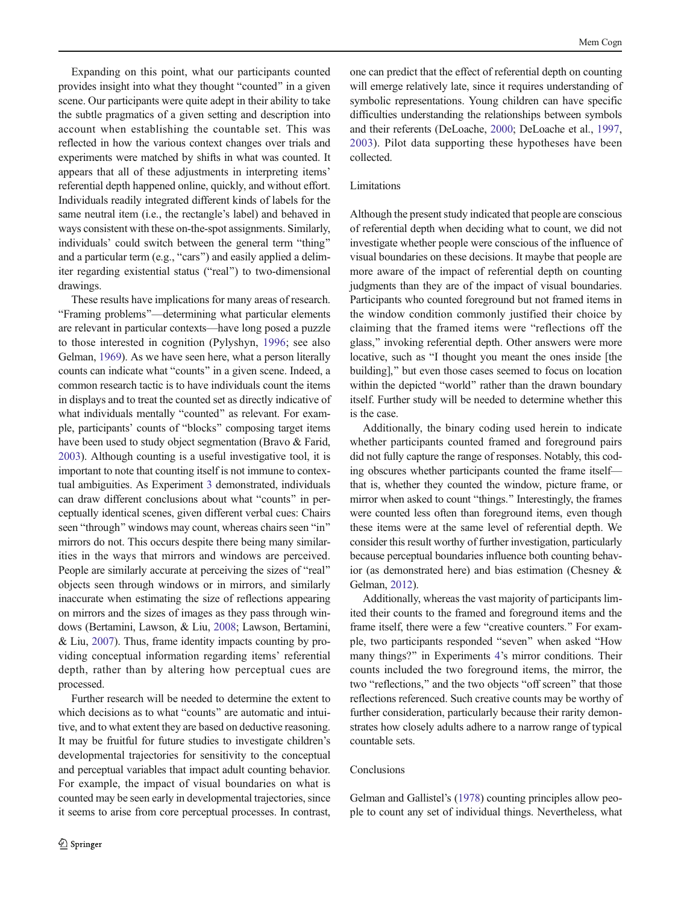Expanding on this point, what our participants counted provides insight into what they thought "counted" in a given scene. Our participants were quite adept in their ability to take the subtle pragmatics of a given setting and description into account when establishing the countable set. This was reflected in how the various context changes over trials and experiments were matched by shifts in what was counted. It appears that all of these adjustments in interpreting items' referential depth happened online, quickly, and without effort. Individuals readily integrated different kinds of labels for the same neutral item (i.e., the rectangle's label) and behaved in ways consistent with these on-the-spot assignments. Similarly, individuals' could switch between the general term "thing" and a particular term (e.g., "cars") and easily applied a delimiter regarding existential status ("real") to two-dimensional drawings.

These results have implications for many areas of research. BFraming problems^—determining what particular elements are relevant in particular contexts—have long posed a puzzle to those interested in cognition (Pylyshyn, [1996](#page-12-0); see also Gelman, [1969](#page-12-0)). As we have seen here, what a person literally counts can indicate what "counts" in a given scene. Indeed, a common research tactic is to have individuals count the items in displays and to treat the counted set as directly indicative of what individuals mentally "counted" as relevant. For example, participants' counts of "blocks" composing target items have been used to study object segmentation (Bravo & Farid, [2003\)](#page-12-0). Although counting is a useful investigative tool, it is important to note that counting itself is not immune to contextual ambiguities. As Experiment [3](#page-6-0) demonstrated, individuals can draw different conclusions about what "counts" in perceptually identical scenes, given different verbal cues: Chairs seen "through" windows may count, whereas chairs seen "in" mirrors do not. This occurs despite there being many similarities in the ways that mirrors and windows are perceived. People are similarly accurate at perceiving the sizes of "real" objects seen through windows or in mirrors, and similarly inaccurate when estimating the size of reflections appearing on mirrors and the sizes of images as they pass through windows (Bertamini, Lawson, & Liu, [2008](#page-12-0); Lawson, Bertamini, & Liu, [2007\)](#page-12-0). Thus, frame identity impacts counting by providing conceptual information regarding items' referential depth, rather than by altering how perceptual cues are processed.

Further research will be needed to determine the extent to which decisions as to what "counts" are automatic and intuitive, and to what extent they are based on deductive reasoning. It may be fruitful for future studies to investigate children's developmental trajectories for sensitivity to the conceptual and perceptual variables that impact adult counting behavior. For example, the impact of visual boundaries on what is counted may be seen early in developmental trajectories, since it seems to arise from core perceptual processes. In contrast, one can predict that the effect of referential depth on counting will emerge relatively late, since it requires understanding of symbolic representations. Young children can have specific difficulties understanding the relationships between symbols and their referents (DeLoache, [2000;](#page-12-0) DeLoache et al., [1997,](#page-12-0) [2003\)](#page-12-0). Pilot data supporting these hypotheses have been collected.

# Limitations

Although the present study indicated that people are conscious of referential depth when deciding what to count, we did not investigate whether people were conscious of the influence of visual boundaries on these decisions. It maybe that people are more aware of the impact of referential depth on counting judgments than they are of the impact of visual boundaries. Participants who counted foreground but not framed items in the window condition commonly justified their choice by claiming that the framed items were "reflections off the glass," invoking referential depth. Other answers were more locative, such as "I thought you meant the ones inside [the building]," but even those cases seemed to focus on location within the depicted "world" rather than the drawn boundary itself. Further study will be needed to determine whether this is the case.

Additionally, the binary coding used herein to indicate whether participants counted framed and foreground pairs did not fully capture the range of responses. Notably, this coding obscures whether participants counted the frame itself that is, whether they counted the window, picture frame, or mirror when asked to count "things." Interestingly, the frames were counted less often than foreground items, even though these items were at the same level of referential depth. We consider this result worthy of further investigation, particularly because perceptual boundaries influence both counting behavior (as demonstrated here) and bias estimation (Chesney & Gelman, [2012\)](#page-12-0).

Additionally, whereas the vast majority of participants limited their counts to the framed and foreground items and the frame itself, there were a few "creative counters." For example, two participants responded "seven" when asked "How many things?" in Experiments [4](#page-7-0)'s mirror conditions. Their counts included the two foreground items, the mirror, the two "reflections," and the two objects "off screen" that those reflections referenced. Such creative counts may be worthy of further consideration, particularly because their rarity demonstrates how closely adults adhere to a narrow range of typical countable sets.

# Conclusions

Gelman and Gallistel's ([1978](#page-12-0)) counting principles allow people to count any set of individual things. Nevertheless, what